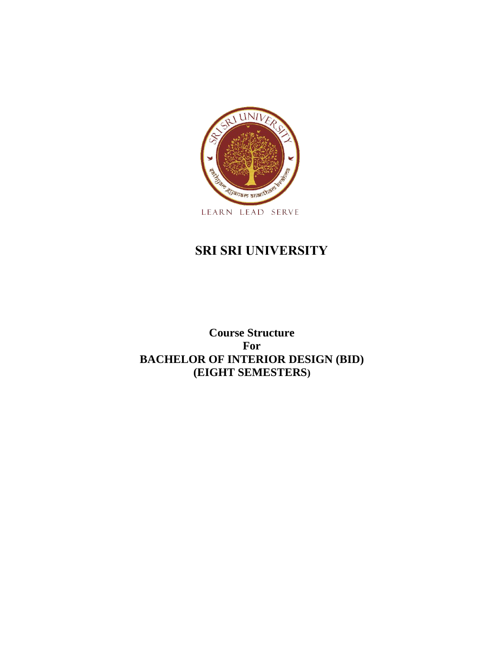

## **SRI SRI UNIVERSITY**

**Course Structure For BACHELOR OF INTERIOR DESIGN (BID) (EIGHT SEMESTERS)**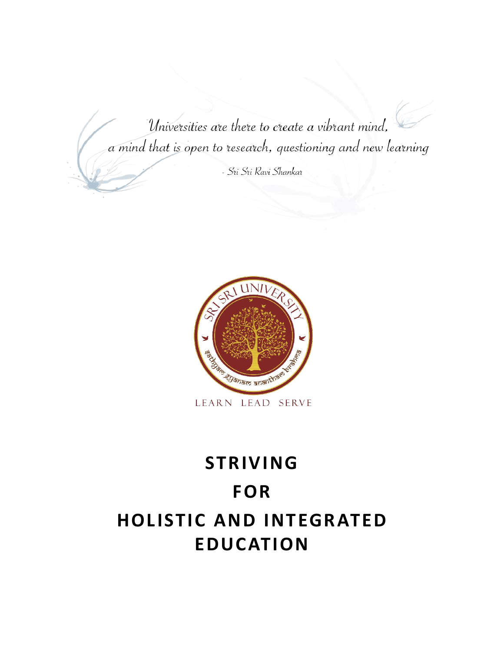Universities are there to create a vibrant mind, a mind that is open to research, questioning and new learning

- Sri Sri Ravi Shankar



## **STRIVING FOR HOLISTIC AND INTEGRATED EDUCATION**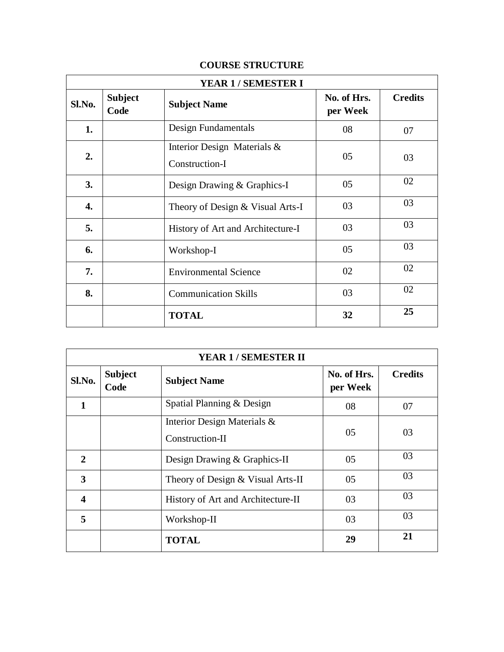|  | <b>COURSE STRUCTURE</b> |
|--|-------------------------|
|--|-------------------------|

| <b>YEAR 1 / SEMESTER I</b> |                        |                                               |                         |                |
|----------------------------|------------------------|-----------------------------------------------|-------------------------|----------------|
| Sl.No.                     | <b>Subject</b><br>Code | <b>Subject Name</b>                           | No. of Hrs.<br>per Week | <b>Credits</b> |
| 1.                         |                        | Design Fundamentals                           | 08                      | 07             |
| 2.                         |                        | Interior Design Materials &<br>Construction-I | 05                      | 03             |
| 3.                         |                        | Design Drawing & Graphics-I                   | 05                      | 02             |
| 4.                         |                        | Theory of Design & Visual Arts-I              | 03                      | 03             |
| 5.                         |                        | History of Art and Architecture-I             | 03                      | 03             |
| 6.                         |                        | Workshop-I                                    | 05                      | 03             |
| 7.                         |                        | <b>Environmental Science</b>                  | 02                      | 02             |
| 8.                         |                        | <b>Communication Skills</b>                   | 03                      | 02             |
|                            |                        | <b>TOTAL</b>                                  | 32                      | 25             |

| <b>YEAR 1/SEMESTER II</b> |                        |                                                |                         |                |
|---------------------------|------------------------|------------------------------------------------|-------------------------|----------------|
| Sl.No.                    | <b>Subject</b><br>Code | <b>Subject Name</b>                            | No. of Hrs.<br>per Week | <b>Credits</b> |
| 1                         |                        | Spatial Planning & Design                      | 08                      | 07             |
|                           |                        | Interior Design Materials &<br>Construction-II | 05                      | 03             |
| 2                         |                        | Design Drawing & Graphics-II                   | 05                      | 03             |
| 3                         |                        | Theory of Design & Visual Arts-II              | 05                      | 03             |
| $\overline{\mathbf{4}}$   |                        | History of Art and Architecture-II             | 03                      | 03             |
| 5                         |                        | Workshop-II                                    | 03                      | 03             |
|                           |                        | <b>TOTAL</b>                                   | 29                      | 21             |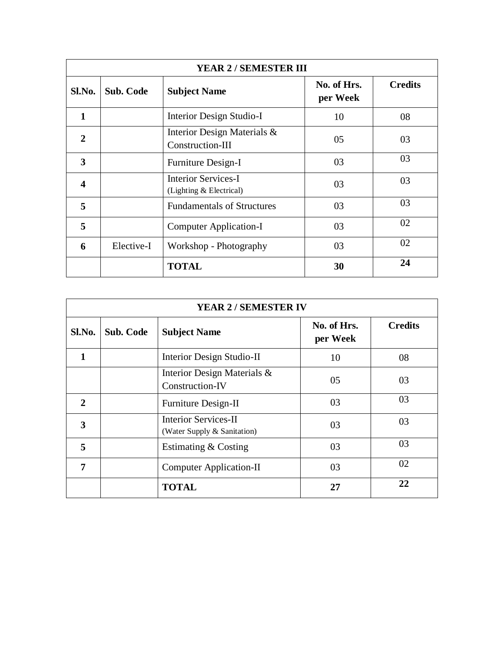| <b>YEAR 2/SEMESTER III</b> |                  |                                                       |                         |                |  |
|----------------------------|------------------|-------------------------------------------------------|-------------------------|----------------|--|
| Sl.No.                     | <b>Sub. Code</b> | <b>Subject Name</b>                                   | No. of Hrs.<br>per Week | <b>Credits</b> |  |
| $\mathbf{1}$               |                  | Interior Design Studio-I                              | 10                      | 08             |  |
| $\mathbf{2}$               |                  | Interior Design Materials &<br>Construction-III       | 05                      | 03             |  |
| $\overline{\mathbf{3}}$    |                  | Furniture Design-I                                    | 03                      | 03             |  |
| $\overline{\mathbf{4}}$    |                  | <b>Interior Services-I</b><br>(Lighting & Electrical) | 03                      | 03             |  |
| 5                          |                  | <b>Fundamentals of Structures</b>                     | 03                      | 03             |  |
| 5                          |                  | <b>Computer Application-I</b>                         | 03                      | 02             |  |
| 6                          | Elective-I       | Workshop - Photography                                | 03                      | 02             |  |
|                            |                  | <b>TOTAL</b>                                          | 30                      | 24             |  |

| <b>YEAR 2/SEMESTER IV</b> |                  |                                                            |                         |                |
|---------------------------|------------------|------------------------------------------------------------|-------------------------|----------------|
| Sl.No.                    | <b>Sub. Code</b> | <b>Subject Name</b>                                        | No. of Hrs.<br>per Week | <b>Credits</b> |
| 1                         |                  | Interior Design Studio-II                                  | 10                      | 08             |
|                           |                  | Interior Design Materials &<br>Construction-IV             | 05                      | 03             |
| $\overline{2}$            |                  | Furniture Design-II                                        | 03                      | 03             |
| 3                         |                  | <b>Interior Services-II</b><br>(Water Supply & Sanitation) | 03                      | 03             |
| 5                         |                  | Estimating & Costing                                       | 03                      | 03             |
| 7                         |                  | <b>Computer Application-II</b>                             | 03                      | 02             |
|                           |                  | <b>TOTAL</b>                                               | 27                      | 22             |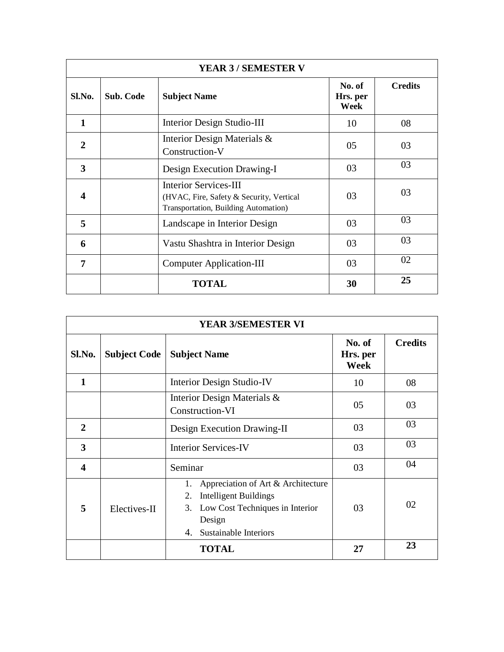| <b>YEAR 3/SEMESTER V</b> |           |                                                                                                                  |                            |                |  |
|--------------------------|-----------|------------------------------------------------------------------------------------------------------------------|----------------------------|----------------|--|
| Sl.No.                   | Sub. Code | <b>Subject Name</b>                                                                                              | No. of<br>Hrs. per<br>Week | <b>Credits</b> |  |
| $\mathbf{1}$             |           | Interior Design Studio-III                                                                                       | 10                         | 08             |  |
| $\mathbf{2}$             |           | Interior Design Materials &<br>Construction-V                                                                    | 05                         | 03             |  |
| 3                        |           | Design Execution Drawing-I                                                                                       | 03                         | 03             |  |
| $\boldsymbol{4}$         |           | <b>Interior Services-III</b><br>(HVAC, Fire, Safety & Security, Vertical<br>Transportation, Building Automation) | 03                         | 03             |  |
| 5                        |           | Landscape in Interior Design                                                                                     | 03                         | 03             |  |
| 6                        |           | Vastu Shashtra in Interior Design                                                                                | 03                         | 03             |  |
| 7                        |           | <b>Computer Application-III</b>                                                                                  | 03                         | 02             |  |
|                          |           | <b>TOTAL</b>                                                                                                     | 30                         | 25             |  |

| <b>YEAR 3/SEMESTER VI</b> |                     |                                                                                                                                                                  |                            |                |
|---------------------------|---------------------|------------------------------------------------------------------------------------------------------------------------------------------------------------------|----------------------------|----------------|
| Sl.No.                    | <b>Subject Code</b> | <b>Subject Name</b>                                                                                                                                              | No. of<br>Hrs. per<br>Week | <b>Credits</b> |
| $\mathbf{1}$              |                     | <b>Interior Design Studio-IV</b>                                                                                                                                 | 10                         | 08             |
|                           |                     | Interior Design Materials &<br>Construction-VI                                                                                                                   | 05                         | 03             |
| $\overline{2}$            |                     | Design Execution Drawing-II                                                                                                                                      | 03                         | 03             |
| 3                         |                     | <b>Interior Services-IV</b>                                                                                                                                      | 03                         | 03             |
| 4                         |                     | Seminar                                                                                                                                                          | 03                         | 04             |
| 5                         | Electives-II        | Appreciation of Art & Architecture<br>1.<br><b>Intelligent Buildings</b><br>2.<br>Low Cost Techniques in Interior<br>3.<br>Design<br>Sustainable Interiors<br>4. | 03                         | 02             |
|                           |                     | <b>TOTAL</b>                                                                                                                                                     | 27                         | 23             |